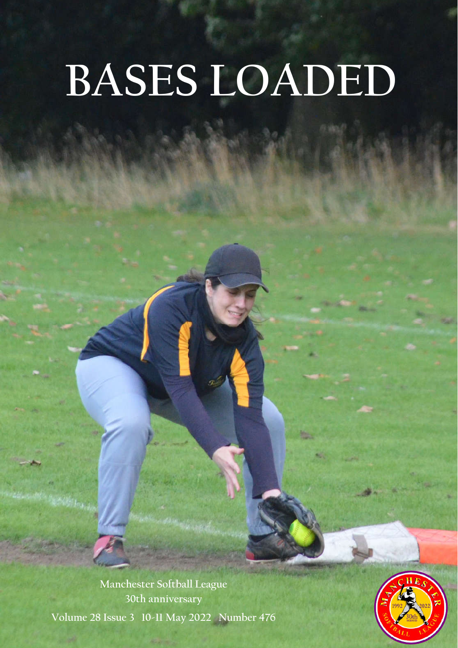# **BASES LOADED**

**Manchester Softball League 30th anniversary** 

**Volume 28 Issue 3 10-11 May 2022 Number 476**

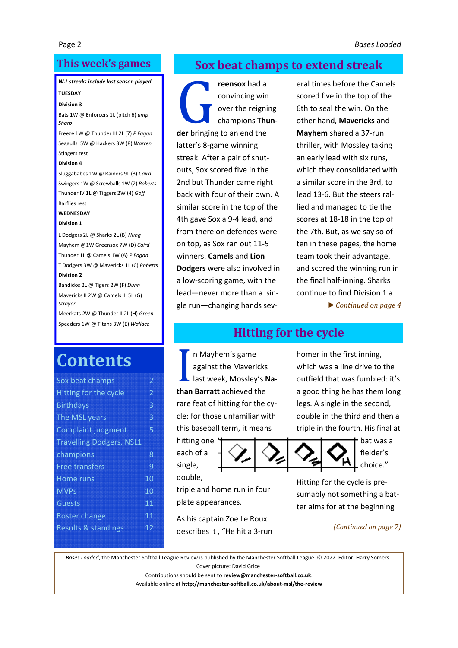## **This week's games**

## *W-L streaks include last season played*

## **TUESDAY**

#### **Division 3**

Bats 1W @ Enforcers 1L (pitch 6) *ump Sharp*

Freeze 1W @ Thunder III 2L (7) *P Fagan* Seagulls 5W @ Hackers 3W (8) *Warren* Stingers rest

#### **Division 4**

Sluggababes 1W @ Raiders 9L (3) *Caird* Swingers 1W @ Screwballs 1W (2) *Roberts* Thunder IV 1L @ Tiggers 2W (4) *Goff* Barflies rest

#### **WEDNESDAY**

#### **Division 1**

L Dodgers 2L @ Sharks 2L (B) *Hung* Mayhem @1W Greensox 7W (D) *Caird* Thunder 1L @ Camels 1W (A) *P Fagan* T Dodgers 3W @ Mavericks 1L (C) *Roberts* **Division 2**

Bandidos 2L @ Tigers 2W (F) *Dunn* Mavericks II 2W @ Camels II 5L (G) *Strayer*

Meerkats 2W @ Thunder II 2L (H) *Green* Speeders 1W @ Titans 3W (E) *Wallace*

# **Contents**

| Sox beat champs                 | 2  |
|---------------------------------|----|
| Hitting for the cycle           | 2  |
| <b>Birthdays</b>                | 3  |
| The MSL years                   | 3  |
| <b>Complaint judgment</b>       | 5  |
| <b>Travelling Dodgers, NSL1</b> |    |
| champions                       | 8  |
| <b>Free transfers</b>           | 9  |
| Home runs                       | 10 |
| <b>MVPs</b>                     | 10 |
| Guests                          | 11 |
| <b>Roster change</b>            | 11 |
| <b>Results &amp; standings</b>  | 12 |
|                                 |    |

## **Sox beat champs to extend streak**

**reensox** had a<br>
convincing win<br>
over the reigni<br>
champions **Thu**<br>
der bringing to an end the convincing win over the reigning champions **Thun**latter's 8-game winning streak. After a pair of shutouts, Sox scored five in the 2nd but Thunder came right back with four of their own. A similar score in the top of the 4th gave Sox a 9-4 lead, and from there on defences were on top, as Sox ran out 11-5 winners. **Camels** and **Lion Dodgers** were also involved in a low-scoring game, with the lead—never more than a single run—changing hands sev-

eral times before the Camels scored five in the top of the 6th to seal the win. On the other hand, **Mavericks** and **Mayhem** shared a 37-run thriller, with Mossley taking an early lead with six runs, which they consolidated with a similar score in the 3rd, to lead 13-6. But the steers rallied and managed to tie the scores at 18-18 in the top of the 7th. But, as we say so often in these pages, the home team took their advantage, and scored the winning run in the final half-inning. Sharks continue to find Division 1 a

*► Continued on page 4*

## **Hitting for the cycle**

In Mayhem's game<br>
against the Mavericks<br>
last week, Mossley's **I**<br> **than Barratt** achieved the n Mayhem's game against the Mavericks last week, Mossley's **Na**rare feat of hitting for the cycle: for those unfamiliar with this baseball term, it means

hitting one each of a single, double,



homer in the first inning, which was a line drive to the outfield that was fumbled: it's a good thing he has them long legs. A single in the second, double in the third and then a triple in the fourth. His final at



bat was a fielder's choice."

Hitting for the cycle is presumably not something a batter aims for at the beginning

*(Continued on page 7)*

*Bases Loaded*, the Manchester Softball League Review is published by the Manchester Softball League. © 2022 Editor: Harry Somers. Cover picture: David Grice

triple and home run in four

As his captain Zoe Le Roux describes it , "He hit a 3-run

plate appearances.

Contributions should be sent to **review@manchester-softball.co.uk**.

Available online at **http://manchester-softball.co.uk/about-msl/the-review**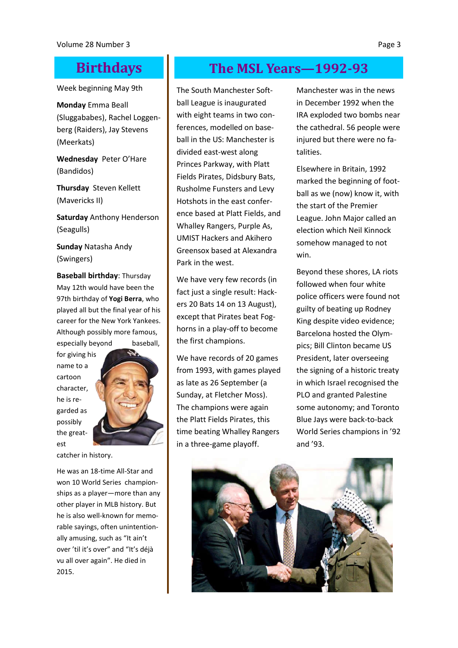Week beginning May 9th

**Monday** Emma Beall (Sluggababes), Rachel Loggenberg (Raiders), Jay Stevens (Meerkats)

**Wednesday** Peter O'Hare (Bandidos)

**Thursday** Steven Kellett (Mavericks II)

**Saturday** Anthony Henderson (Seagulls)

**Sunday** Natasha Andy (Swingers)

**Baseball birthday**: Thursday May 12th would have been the 97th birthday of **Yogi Berra**, who played all but the final year of his career for the New York Yankees. Although possibly more famous, especially beyond baseball,

for giving his name to a cartoon character, he is regarded as possibly the greatest



catcher in history.

He was an 18-time All-Star and won 10 World Series championships as a player—more than any other player in MLB history. But he is also well-known for memorable sayings, often unintentionally amusing, such as "It ain't over 'til it's over" and "It's déjà vu all over again". He died in 2015.

# **Birthdays The MSL Years—1992-93**

The South Manchester Softball League is inaugurated with eight teams in two conferences, modelled on baseball in the US: Manchester is divided east-west along Princes Parkway, with Platt Fields Pirates, Didsbury Bats, Rusholme Funsters and Levy Hotshots in the east conference based at Platt Fields, and Whalley Rangers, Purple As, UMIST Hackers and Akihero Greensox based at Alexandra Park in the west.

We have very few records (in fact just a single result: Hackers 20 Bats 14 on 13 August), except that Pirates beat Foghorns in a play-off to become the first champions.

We have records of 20 games from 1993, with games played as late as 26 September (a Sunday, at Fletcher Moss). The champions were again the Platt Fields Pirates, this time beating Whalley Rangers in a three-game playoff.

Manchester was in the news in December 1992 when the IRA exploded two bombs near the cathedral. 56 people were injured but there were no fatalities.

Elsewhere in Britain, 1992 marked the beginning of football as we (now) know it, with the start of the Premier League. John Major called an election which Neil Kinnock somehow managed to not win.

Beyond these shores, LA riots followed when four white police officers were found not guilty of beating up Rodney King despite video evidence; Barcelona hosted the Olympics; Bill Clinton became US President, later overseeing the signing of a historic treaty in which Israel recognised the PLO and granted Palestine some autonomy; and Toronto Blue Jays were back-to-back World Series champions in '92 and '93.

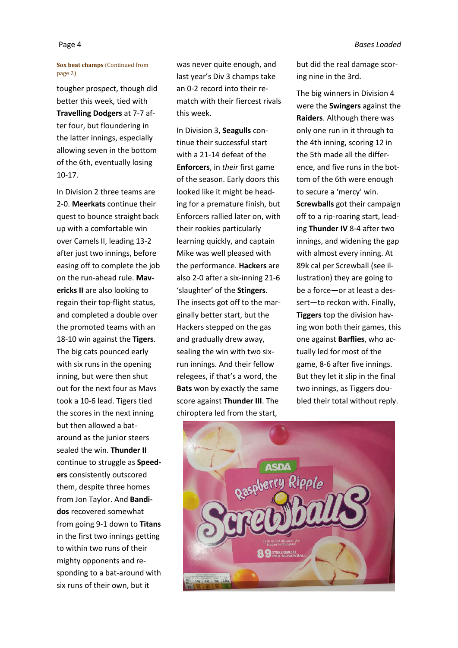#### **Sox beat champs** (Continued from page 2)

tougher prospect, though did better this week, tied with **Travelling Dodgers** at 7-7 after four, but floundering in the latter innings, especially allowing seven in the bottom of the 6th, eventually losing 10-17.

In Division 2 three teams are 2-0. **Meerkats** continue their quest to bounce straight back up with a comfortable win over Camels II, leading 13-2 after just two innings, before easing off to complete the job on the run-ahead rule. **Mavericks II** are also looking to regain their top-flight status, and completed a double over the promoted teams with an 18-10 win against the **Tigers**. The big cats pounced early with six runs in the opening inning, but were then shut out for the next four as Mavs took a 10-6 lead. Tigers tied the scores in the next inning but then allowed a bataround as the junior steers sealed the win. **Thunder II** continue to struggle as **Speeders** consistently outscored them, despite three homes from Jon Taylor. And **Bandidos** recovered somewhat from going 9-1 down to **Titans**  in the first two innings getting to within two runs of their mighty opponents and responding to a bat-around with six runs of their own, but it

was never quite enough, and last year's Div 3 champs take an 0-2 record into their rematch with their fiercest rivals this week.

In Division 3, **Seagulls** continue their successful start with a 21-14 defeat of the **Enforcers**, in *their* first game of the season. Early doors this looked like it might be heading for a premature finish, but Enforcers rallied later on, with their rookies particularly learning quickly, and captain Mike was well pleased with the performance. **Hackers** are also 2-0 after a six-inning 21-6 'slaughter' of the **Stingers**. The insects got off to the marginally better start, but the Hackers stepped on the gas and gradually drew away, sealing the win with two sixrun innings. And their fellow relegees, if that's a word, the **Bats** won by exactly the same score against **Thunder III**. The chiroptera led from the start,

but did the real damage scoring nine in the 3rd.

The big winners in Division 4 were the **Swingers** against the **Raiders**. Although there was only one run in it through to the 4th inning, scoring 12 in the 5th made all the difference, and five runs in the bottom of the 6th were enough to secure a 'mercy' win. **Screwballs** got their campaign off to a rip-roaring start, leading **Thunder IV** 8-4 after two innings, and widening the gap with almost every inning. At 89k cal per Screwball (see illustration) they are going to be a force—or at least a dessert—to reckon with. Finally, **Tiggers** top the division having won both their games, this one against **Barflies**, who actually led for most of the game, 8-6 after five innings. But they let it slip in the final two innings, as Tiggers doubled their total without reply.

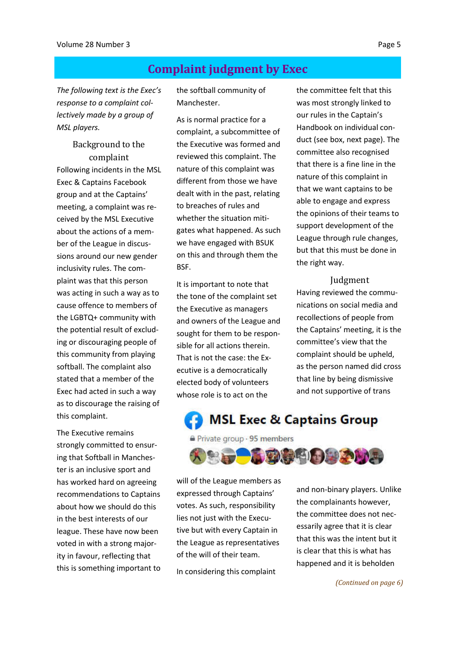## **Complaint judgment by Exec**

*The following text is the Exec's response to a complaint collectively made by a group of MSL players.*

## Background to the complaint Following incidents in the MSL Exec & Captains Facebook group and at the Captains' meeting, a complaint was received by the MSL Executive about the actions of a member of the League in discussions around our new gender inclusivity rules. The complaint was that this person was acting in such a way as to cause offence to members of the LGBTQ+ community with

the potential result of excluding or discouraging people of this community from playing softball. The complaint also stated that a member of the Exec had acted in such a way as to discourage the raising of this complaint.

The Executive remains strongly committed to ensuring that Softball in Manchester is an inclusive sport and has worked hard on agreeing recommendations to Captains about how we should do this in the best interests of our league. These have now been voted in with a strong majority in favour, reflecting that this is something important to the softball community of Manchester.

As is normal practice for a complaint, a subcommittee of the Executive was formed and reviewed this complaint. The nature of this complaint was different from those we have dealt with in the past, relating to breaches of rules and whether the situation mitigates what happened. As such we have engaged with BSUK on this and through them the BSF.

It is important to note that the tone of the complaint set the Executive as managers and owners of the League and sought for them to be responsible for all actions therein. That is not the case: the Executive is a democratically elected body of volunteers whose role is to act on the

the committee felt that this was most strongly linked to our rules in the Captain's Handbook on individual conduct (see box, next page). The committee also recognised that there is a fine line in the nature of this complaint in that we want captains to be able to engage and express the opinions of their teams to support development of the League through rule changes, but that this must be done in the right way.

#### Judgment

Having reviewed the communications on social media and recollections of people from the Captains' meeting, it is the committee's view that the complaint should be upheld, as the person named did cross that line by being dismissive and not supportive of trans

**MSL Exec & Captains Group** 

Private group · 95 members



will of the League members as expressed through Captains' votes. As such, responsibility lies not just with the Executive but with every Captain in the League as representatives of the will of their team.

In considering this complaint

and non-binary players. Unlike the complainants however, the committee does not necessarily agree that it is clear that this was the intent but it is clear that this is what has happened and it is beholden

*(Continued on page 6)*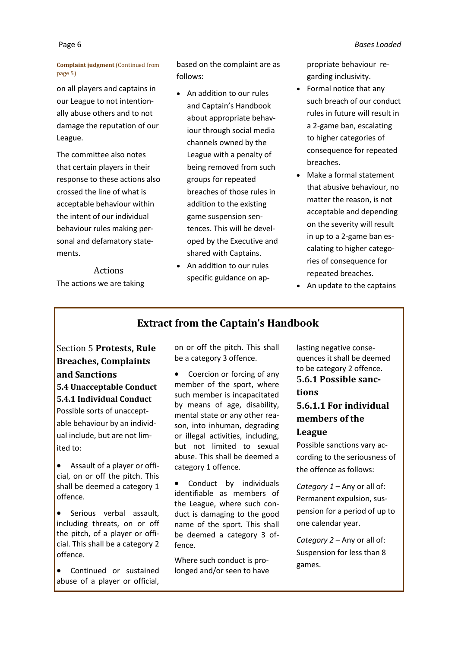#### **Complaint judgment** (Continued from page 5)

on all players and captains in our League to not intentionally abuse others and to not damage the reputation of our League.

The committee also notes that certain players in their response to these actions also crossed the line of what is acceptable behaviour within the intent of our individual behaviour rules making personal and defamatory statements.

Actions The actions we are taking based on the complaint are as follows:

- An addition to our rules and Captain's Handbook about appropriate behaviour through social media channels owned by the League with a penalty of being removed from such groups for repeated breaches of those rules in addition to the existing game suspension sentences. This will be developed by the Executive and shared with Captains.
- An addition to our rules specific guidance on ap-

propriate behaviour regarding inclusivity.

- Formal notice that any such breach of our conduct rules in future will result in a 2-game ban, escalating to higher categories of consequence for repeated breaches.
- Make a formal statement that abusive behaviour, no matter the reason, is not acceptable and depending on the severity will result in up to a 2-game ban escalating to higher categories of consequence for repeated breaches.
- An update to the captains

## **Extract from the Captain's Handbook**

Section 5 **Protests, Rule Breaches, Complaints and Sanctions 5.4 Unacceptable Conduct**

**5.4.1 Individual Conduct**

Possible sorts of unacceptable behaviour by an individual include, but are not limited to:

 Assault of a player or official, on or off the pitch. This shall be deemed a category 1 offence.

- **•** Serious verbal assault, including threats, on or off the pitch, of a player or official. This shall be a category 2 offence.
- Continued or sustained abuse of a player or official,

on or off the pitch. This shall be a category 3 offence.

 Coercion or forcing of any member of the sport, where such member is incapacitated by means of age, disability, mental state or any other reason, into inhuman, degrading or illegal activities, including, but not limited to sexual abuse. This shall be deemed a category 1 offence.

• Conduct by individuals identifiable as members of the League, where such conduct is damaging to the good name of the sport. This shall be deemed a category 3 offence.

Where such conduct is prolonged and/or seen to have lasting negative consequences it shall be deemed to be category 2 offence. **5.6.1 Possible sanctions**

## **5.6.1.1 For individual members of the League**

Possible sanctions vary according to the seriousness of the offence as follows:

*Category 1* – Any or all of: Permanent expulsion, suspension for a period of up to one calendar year.

*Category 2* – Any or all of: Suspension for less than 8 games.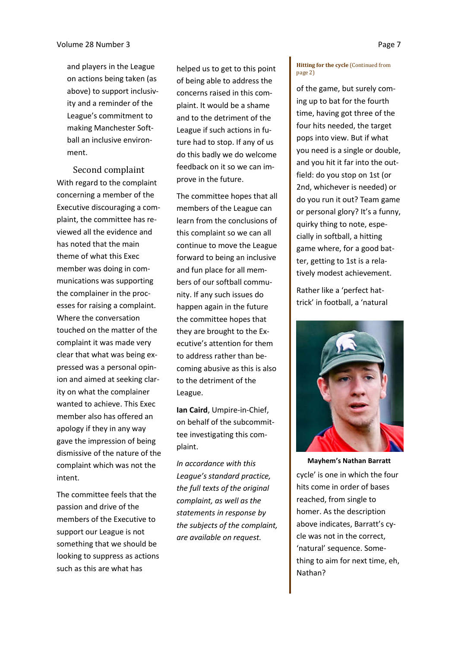and players in the League on actions being taken (as above) to support inclusivity and a reminder of the League's commitment to making Manchester Softball an inclusive environment.

Second complaint With regard to the complaint concerning a member of the Executive discouraging a complaint, the committee has reviewed all the evidence and has noted that the main theme of what this Exec member was doing in communications was supporting the complainer in the processes for raising a complaint. Where the conversation touched on the matter of the complaint it was made very clear that what was being expressed was a personal opinion and aimed at seeking clarity on what the complainer wanted to achieve. This Exec member also has offered an apology if they in any way gave the impression of being dismissive of the nature of the complaint which was not the intent.

The committee feels that the passion and drive of the members of the Executive to support our League is not something that we should be looking to suppress as actions such as this are what has

helped us to get to this point of being able to address the concerns raised in this complaint. It would be a shame and to the detriment of the League if such actions in future had to stop. If any of us do this badly we do welcome feedback on it so we can improve in the future.

The committee hopes that all members of the League can learn from the conclusions of this complaint so we can all continue to move the League forward to being an inclusive and fun place for all members of our softball community. If any such issues do happen again in the future the committee hopes that they are brought to the Executive's attention for them to address rather than becoming abusive as this is also to the detriment of the League.

**Ian Caird**, Umpire-in-Chief, on behalf of the subcommittee investigating this complaint.

*In accordance with this League's standard practice, the full texts of the original complaint, as well as the statements in response by the subjects of the complaint, are available on request.*

#### **Hitting for the cycle** (Continued from page 2)

of the game, but surely coming up to bat for the fourth time, having got three of the four hits needed, the target pops into view. But if what you need is a single or double, and you hit it far into the outfield: do you stop on 1st (or 2nd, whichever is needed) or do you run it out? Team game or personal glory? It's a funny, quirky thing to note, especially in softball, a hitting game where, for a good batter, getting to 1st is a relatively modest achievement.

Rather like a 'perfect hattrick' in football, a 'natural



cycle' is one in which the four hits come in order of bases reached, from single to homer. As the description above indicates, Barratt's cycle was not in the correct, 'natural' sequence. Something to aim for next time, eh, Nathan? **Mayhem's Nathan Barratt**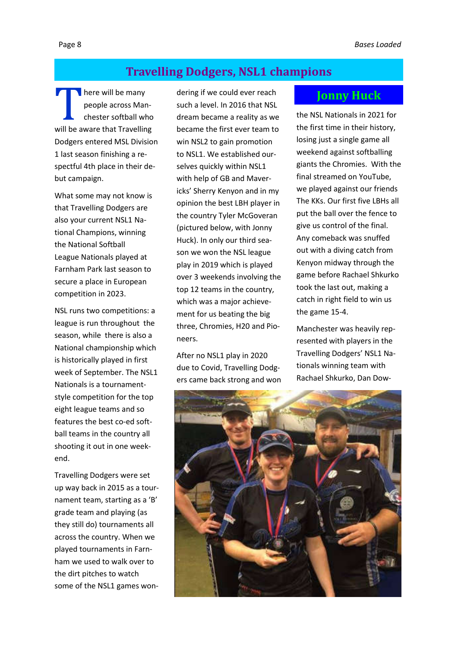## **Travelling Dodgers, NSL1 champions**

 $\blacksquare$  here will be many people across Manchester softball who will be aware that Travelling Dodgers entered MSL Division 1 last season finishing a respectful 4th place in their debut campaign.

What some may not know is that Travelling Dodgers are also your current NSL1 National Champions, winning the National Softball League Nationals played at Farnham Park last season to secure a place in European competition in 2023.

NSL runs two competitions: a league is run throughout the season, while there is also a National championship which is historically played in first week of September. The NSL1 Nationals is a tournamentstyle competition for the top eight league teams and so features the best co-ed softball teams in the country all shooting it out in one weekend.

Travelling Dodgers were set up way back in 2015 as a tournament team, starting as a 'B' grade team and playing (as they still do) tournaments all across the country. When we played tournaments in Farnham we used to walk over to the dirt pitches to watch some of the NSL1 games wondering if we could ever reach such a level. In 2016 that NSL dream became a reality as we became the first ever team to win NSL2 to gain promotion to NSL1. We established ourselves quickly within NSL1 with help of GB and Mavericks' Sherry Kenyon and in my opinion the best LBH player in the country Tyler McGoveran (pictured below, with Jonny Huck). In only our third season we won the NSL league play in 2019 which is played over 3 weekends involving the top 12 teams in the country, which was a major achievement for us beating the big three, Chromies, H20 and Pioneers.

After no NSL1 play in 2020 due to Covid, Travelling Dodgers came back strong and won

## **Jonny Huck**

the NSL Nationals in 2021 for the first time in their history, losing just a single game all weekend against softballing giants the Chromies. With the final streamed on YouTube, we played against our friends The KKs. Our first five LBHs all put the ball over the fence to give us control of the final. Any comeback was snuffed out with a diving catch from Kenyon midway through the game before Rachael Shkurko took the last out, making a catch in right field to win us the game 15-4.

Manchester was heavily represented with players in the Travelling Dodgers' NSL1 Nationals winning team with Rachael Shkurko, Dan Dow-

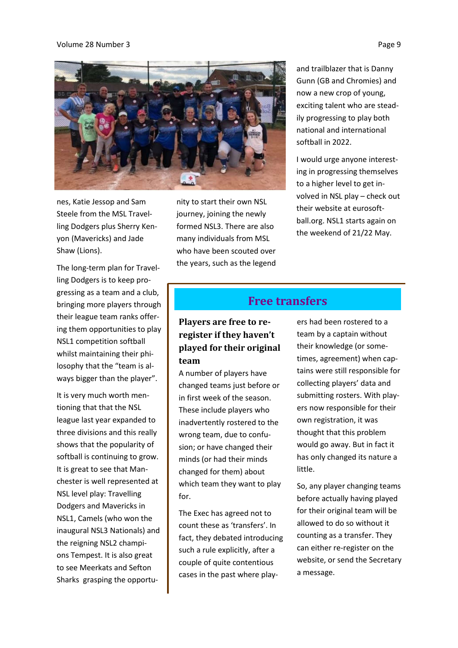#### Volume 28 Number 3 Page 9

![](_page_8_Picture_1.jpeg)

nes, Katie Jessop and Sam Steele from the MSL Travelling Dodgers plus Sherry Kenyon (Mavericks) and Jade Shaw (Lions).

The long-term plan for Travelling Dodgers is to keep progressing as a team and a club, bringing more players through their league team ranks offering them opportunities to play NSL1 competition softball whilst maintaining their philosophy that the "team is always bigger than the player".

It is very much worth mentioning that that the NSL league last year expanded to three divisions and this really shows that the popularity of softball is continuing to grow. It is great to see that Manchester is well represented at NSL level play: Travelling Dodgers and Mavericks in NSL1, Camels (who won the inaugural NSL3 Nationals) and the reigning NSL2 champions Tempest. It is also great to see Meerkats and Sefton Sharks grasping the opportu-

nity to start their own NSL journey, joining the newly formed NSL3. There are also many individuals from MSL who have been scouted over the years, such as the legend and trailblazer that is Danny Gunn (GB and Chromies) and now a new crop of young, exciting talent who are steadily progressing to play both national and international softball in 2022.

I would urge anyone interesting in progressing themselves to a higher level to get involved in NSL play – check out their website at eurosoftball.org. NSL1 starts again on the weekend of 21/22 May.

## **Free transfers**

**Players are free to reregister if they haven't played for their original team**

A number of players have changed teams just before or in first week of the season. These include players who inadvertently rostered to the wrong team, due to confusion; or have changed their minds (or had their minds changed for them) about which team they want to play for.

The Exec has agreed not to count these as 'transfers'. In fact, they debated introducing such a rule explicitly, after a couple of quite contentious cases in the past where play-

ers had been rostered to a team by a captain without their knowledge (or sometimes, agreement) when captains were still responsible for collecting players' data and submitting rosters. With players now responsible for their own registration, it was thought that this problem would go away. But in fact it has only changed its nature a little.

So, any player changing teams before actually having played for their original team will be allowed to do so without it counting as a transfer. They can either re-register on the website, or send the Secretary a message.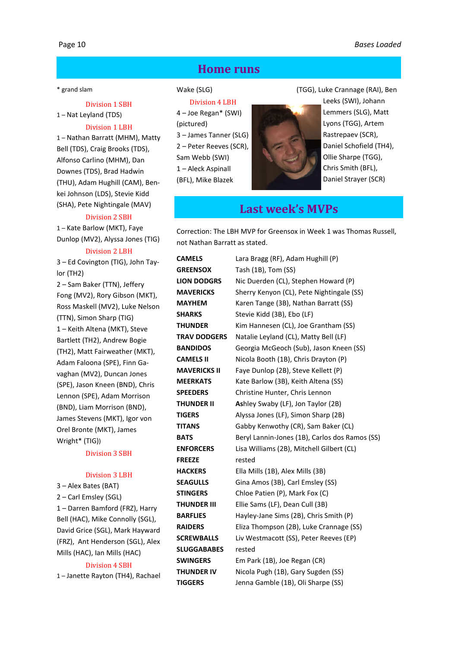## **Home runs**

#### \* grand slam

#### Division 1 SBH

1 – Nat Leyland (TDS)

#### Division 1 LBH

1 – Nathan Barratt (MHM), Matty Bell (TDS), Craig Brooks (TDS), Alfonso Carlino (MHM), Dan Downes (TDS), Brad Hadwin (THU), Adam Hughill (CAM), Benkei Johnson (LDS), Stevie Kidd (SHA), Pete Nightingale (MAV)

#### Division 2 SBH

1 – Kate Barlow (MKT), Faye Dunlop (MV2), Alyssa Jones (TIG)

#### Division 2 LBH

3 – Ed Covington (TIG), John Taylor (TH2)

2 – Sam Baker (TTN), Jeffery Fong (MV2), Rory Gibson (MKT), Ross Maskell (MV2), Luke Nelson (TTN), Simon Sharp (TIG) 1 – Keith Altena (MKT), Steve Bartlett (TH2), Andrew Bogie (TH2), Matt Fairweather (MKT), Adam Faloona (SPE), Finn Gavaghan (MV2), Duncan Jones (SPE), Jason Kneen (BND), Chris Lennon (SPE), Adam Morrison (BND), Liam Morrison (BND), James Stevens (MKT), Igor von Orel Bronte (MKT), James Wright\* (TIG))

#### Division 3 SBH

#### Division 3 LBH

3 – Alex Bates (BAT)

2 – Carl Emsley (SGL)

1 – Darren Bamford (FRZ), Harry Bell (HAC), Mike Connolly (SGL), David Grice (SGL), Mark Hayward (FRZ), Ant Henderson (SGL), Alex Mills (HAC), Ian Mills (HAC)

## Division 4 SBH 1 – Janette Rayton (TH4), Rachael

## Wake (SLG)

Division 4 LBH 4 – Joe Regan\* (SWI)

- (pictured)
- 3 James Tanner (SLG)

2 – Peter Reeves (SCR),

Sam Webb (SWI)

1 – Aleck Aspinall

(BFL), Mike Blazek

![](_page_9_Picture_27.jpeg)

(TGG), Luke Crannage (RAI), Ben

Leeks (SWI), Johann Lemmers (SLG), Matt Lyons (TGG), Artem Rastrepaev (SCR), Daniel Schofield (TH4), Ollie Sharpe (TGG), Chris Smith (BFL), Daniel Strayer (SCR)

## **Last week's MVPs**

Correction: The LBH MVP for Greensox in Week 1 was Thomas Russell, not Nathan Barratt as stated.

| <b>CAMELS</b>       | Lara Bragg (RF), Adam Hughill (P)              |
|---------------------|------------------------------------------------|
| <b>GREENSOX</b>     | Tash (1B), Tom (SS)                            |
| <b>LION DODGRS</b>  | Nic Duerden (CL), Stephen Howard (P)           |
| <b>MAVERICKS</b>    | Sherry Kenyon (CL), Pete Nightingale (SS)      |
| <b>MAYHEM</b>       | Karen Tange (3B), Nathan Barratt (SS)          |
| <b>SHARKS</b>       | Stevie Kidd (3B), Ebo (LF)                     |
| <b>THUNDER</b>      | Kim Hannesen (CL), Joe Grantham (SS)           |
| <b>TRAV DODGERS</b> | Natalie Leyland (CL), Matty Bell (LF)          |
| <b>BANDIDOS</b>     | Georgia McGeoch (Sub), Jason Kneen (SS)        |
| <b>CAMELS II</b>    | Nicola Booth (1B), Chris Drayton (P)           |
| <b>MAVERICKS II</b> | Faye Dunlop (2B), Steve Kellett (P)            |
| <b>MEERKATS</b>     | Kate Barlow (3B), Keith Altena (SS)            |
| <b>SPEEDERS</b>     | Christine Hunter, Chris Lennon                 |
| THUNDER II          | Ashley Swaby (LF), Jon Taylor (2B)             |
| <b>TIGERS</b>       | Alyssa Jones (LF), Simon Sharp (2B)            |
| TITANS              | Gabby Kenwothy (CR), Sam Baker (CL)            |
| <b>BATS</b>         | Beryl Lannin-Jones (1B), Carlos dos Ramos (SS) |
| <b>ENFORCERS</b>    | Lisa Williams (2B), Mitchell Gilbert (CL)      |
| <b>FREEZE</b>       | rested                                         |
| <b>HACKERS</b>      | Ella Mills (1B), Alex Mills (3B)               |
| <b>SEAGULLS</b>     | Gina Amos (3B), Carl Emsley (SS)               |
| <b>STINGERS</b>     | Chloe Patien (P), Mark Fox (C)                 |
| <b>THUNDER III</b>  | Ellie Sams (LF), Dean Cull (3B)                |
| <b>BARFLIES</b>     | Hayley-Jane Sims (2B), Chris Smith (P)         |
| <b>RAIDERS</b>      | Eliza Thompson (2B), Luke Crannage (SS)        |
| <b>SCREWBALLS</b>   | Liv Westmacott (SS), Peter Reeves (EP)         |
| <b>SLUGGABABES</b>  | rested                                         |
| <b>SWINGERS</b>     | Em Park (1B), Joe Regan (CR)                   |
| <b>THUNDER IV</b>   | Nicola Pugh (1B), Gary Sugden (SS)             |
| TIGGERS             | Jenna Gamble (1B), Oli Sharpe (SS)             |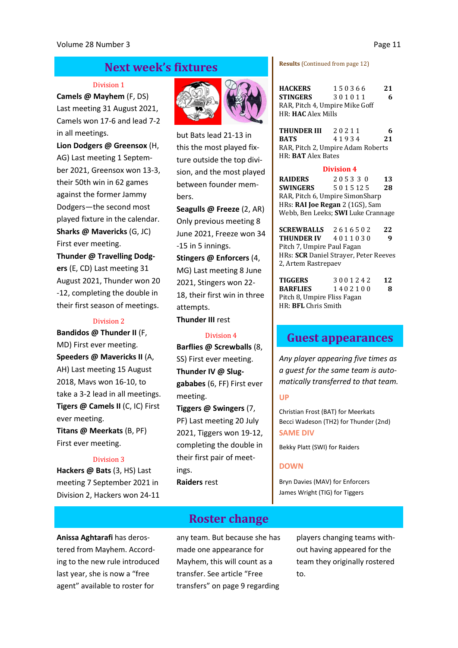## **Next week's fixtures**

#### Division 1

**Camels @ Mayhem** (F, DS) Last meeting 31 August 2021, Camels won 17-6 and lead 7-2 in all meetings.

**Lion Dodgers @ Greensox** (H, AG) Last meeting 1 September 2021, Greensox won 13-3, their 50th win in 62 games against the former Jammy Dodgers—the second most played fixture in the calendar. **Sharks @ Mavericks** (G, JC) First ever meeting.

**Thunder @ Travelling Dodgers** (E, CD) Last meeting 31 August 2021, Thunder won 20 -12, completing the double in their first season of meetings.

#### Division 2

**Bandidos @ Thunder II** (F, MD) First ever meeting. **Speeders @ Mavericks II** (A, AH) Last meeting 15 August 2018, Mavs won 16-10, to take a 3-2 lead in all meetings. **Tigers @ Camels II** (C, IC) First ever meeting.

**Titans @ Meerkats** (B, PF) First ever meeting.

#### Division 3

**Hackers @ Bats** (3, HS) Last meeting 7 September 2021 in Division 2, Hackers won 24-11

last year, she is now a "free agent" available to roster for

![](_page_10_Picture_11.jpeg)

but Bats lead 21-13 in this the most played fixture outside the top division, and the most played between founder members.

**Seagulls @ Freeze** (2, AR) Only previous meeting 8 June 2021, Freeze won 34 -15 in 5 innings. **Stingers @ Enforcers** (4, MG) Last meeting 8 June 2021, Stingers won 22- 18, their first win in three attempts. **Thunder III** rest

#### Division 4

**Barflies @ Screwballs** (8, SS) First ever meeting. **Thunder IV @ Sluggababes** (6, FF) First ever meeting.

**Tiggers @ Swingers** (7, PF) Last meeting 20 July 2021, Tiggers won 19-12, completing the double in their first pair of meetings. **Raiders** rest

**Results** (Continued from page 12)

| <b>HACKERS</b>                                              | 150366 | 21 |  |  |  |
|-------------------------------------------------------------|--------|----|--|--|--|
| STINGERS                                                    | 301011 | 6  |  |  |  |
| RAR, Pitch 4, Umpire Mike Goff<br>HR: <b>HAC</b> Alex Mills |        |    |  |  |  |

**THUNDER III** 20211 6<br>**BATS** 41934 21 **BATS** 4 1 9 3 4 **21** RAR, Pitch 2, Umpire Adam Roberts HR: **BAT** Alex Bates

#### **Division 4**

**RAIDERS** 2 0 5 3 3 0 **13 SWINGERS** 5 0 1 5 12 5 **28** RAR, Pitch 6, Umpire SimonSharp HRs: **RAI Joe Regan** 2 (1GS), Sam Webb, Ben Leeks; **SWI** Luke Crannage

**SCREWBALLS** 2 6 1 6 5 0 2 **22 THUNDER IV** 4 0 1 1 0 3 0 **9** Pitch 7, Umpire Paul Fagan HRs: **SCR** Daniel Strayer, Peter Reeves 2, Artem Rastrepaev

**TIGGERS** 3 0 0 1 2 4 2 **12 BARFLIES** 1 4 0 2 1 0 0 **8** Pitch 8, Umpire Fliss Fagan HR: **BFL** Chris Smith

## **Guest appearances**

*Any player appearing five times as a guest for the same team is automatically transferred to that team.* 

#### **UP**

Christian Frost (BAT) for Meerkats Becci Wadeson (TH2) for Thunder (2nd) **SAME DIV** 

Bekky Platt (SWI) for Raiders

#### **DOWN**

Bryn Davies (MAV) for Enforcers James Wright (TIG) for Tiggers

**Anissa Aghtarafi** has derostered from Mayhem. According to the new rule introduced

**Roster change**

any team. But because she has made one appearance for Mayhem, this will count as a transfer. See article "Free transfers" on page 9 regarding

players changing teams without having appeared for the team they originally rostered to.